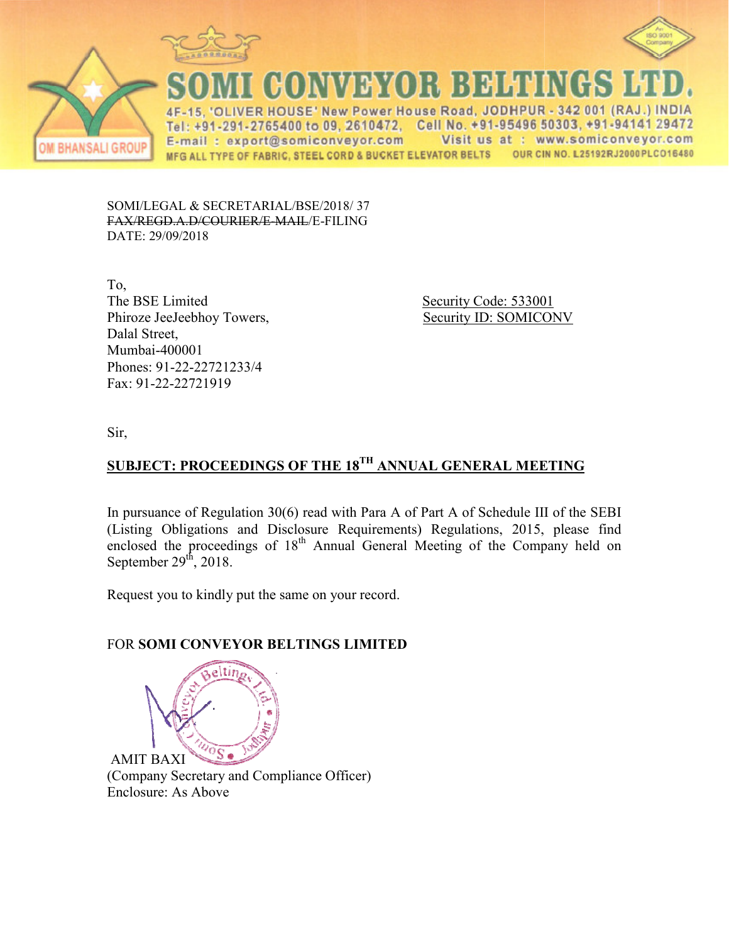



**BHANSALI GROUP** 

**CONVEYOR BELTINGS** 

**ER HOUSE' New Power House Road, JODH** A E Tel: +91-291-2765400 to 09, 2610472, Cell No. +91-95496 50303, +91-94141 29472 Visit us at : www.somiconveyor.com E-mail: export@somiconveyor.com OUR CIN NO. L25192RJ2000PLCO16480 MFG ALL TYPE OF FABRIC, STEEL CORD & BUCKET ELEVATOR BELTS

SOMI/LEGAL & SECRETARIAL/BSE/2018/37 FAX/REGD.A.D/COURIER/E-MAIL/E-FILING DATE: 29/09/2018

To, The BSE Limited Phiroze JeeJeebhoy Towers, Dalal Street, Mumbai-400001 Phones: 91-22-22721233/4 Fax: 91-22-22721919

 Security Code: 533001 Example 1 Security Code: 533001<br>Security ID: SOMICONV

Sir,

## SUBJECT: PROCEEDINGS OF THE 18<sup>TH</sup> ANNUAL GENERAL MEETING

In pursuance of Regulation 30(6) read with Para A of Part A of Schedule III of the SEBI (Listing Obligations and Disclosure Requirements) Regulations, 2015, please find enclosed the proceedings of 18<sup>th</sup> Annual General Meeting of the Company held on September  $29<sup>th</sup>$ , 2018.

Request you to kindly put the same on your record.

## FOR **SOMI CONVEYOR BELTINGS LIMITED**



(Company Secretary and Com Compliance Officer) Enclosure: As Above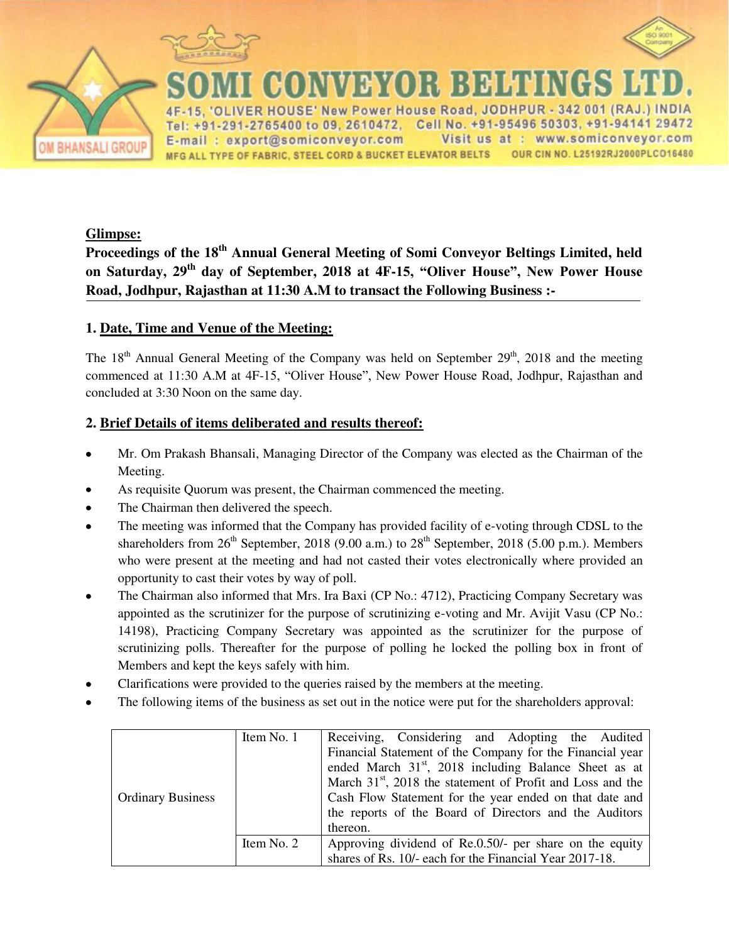



#### R B B H H H I **BYO**

New Power House Road, JODHPUR - 342 001 (RAJ.) INDIA **R HOUS** : +91-291-2765400 to 09, 2610472, Cell No. +91-95496 50303, +91-94141 29472 Visit us at : www.somiconveyor.com E-mail: export@somiconveyor.com OUR CIN NO. L25192RJ2000PLCO16480 MFG ALL TYPE OF FABRIC, STEEL CORD & BUCKET ELEVATOR BELTS

#### **Glimpse:**

**Proceedings of the 18th Annual General Meeting of Somi Conveyor Beltings Limited, held on Saturday, 29th day of September, 2018 at 4F-15, "Oliver House", New Power House Road, Jodhpur, Rajasthan at 11:30 A.M to transact the Following Business :-** 

#### **1. Date, Time and Venue of the Meeting:**

The  $18<sup>th</sup>$  Annual General Meeting of the Company was held on September  $29<sup>th</sup>$ , 2018 and the meeting commenced at 11:30 A.M at 4F-15, "Oliver House", New Power House Road, Jodhpur, Rajasthan and concluded at 3:30 Noon on the same day.

#### **2. Brief Details of items deliberated and results thereof:**

- Mr. Om Prakash Bhansali, Managing Director of the Company was elected as the Chairman of the Meeting.
- As requisite Quorum was present, the Chairman commenced the meeting.
- The Chairman then delivered the speech.  $\bullet$
- The meeting was informed that the Company has provided facility of e-voting through CDSL to the  $\bullet$ shareholders from  $26<sup>th</sup>$  September, 2018 (9.00 a.m.) to  $28<sup>th</sup>$  September, 2018 (5.00 p.m.). Members who were present at the meeting and had not casted their votes electronically where provided an opportunity to cast their votes by way of poll.
- The Chairman also informed that Mrs. Ira Baxi (CP No.: 4712), Practicing Company Secretary was  $\bullet$ appointed as the scrutinizer for the purpose of scrutinizing e-voting and Mr. Avijit Vasu (CP No.: 14198), Practicing Company Secretary was appointed as the scrutinizer for the purpose of scrutinizing polls. Thereafter for the purpose of polling he locked the polling box in front of Members and kept the keys safely with him.
- Clarifications were provided to the queries raised by the members at the meeting.
- The following items of the business as set out in the notice were put for the shareholders approval:

| <b>Ordinary Business</b> | Item No. 1 | Receiving, Considering and Adopting the Audited<br>Financial Statement of the Company for the Financial year<br>ended March 31 <sup>st</sup> , 2018 including Balance Sheet as at<br>March $31st$ , 2018 the statement of Profit and Loss and the<br>Cash Flow Statement for the year ended on that date and<br>the reports of the Board of Directors and the Auditors<br>thereon. |
|--------------------------|------------|------------------------------------------------------------------------------------------------------------------------------------------------------------------------------------------------------------------------------------------------------------------------------------------------------------------------------------------------------------------------------------|
|                          | Item No. 2 | Approving dividend of Re.0.50/- per share on the equity<br>shares of Rs. 10/- each for the Financial Year 2017-18.                                                                                                                                                                                                                                                                 |